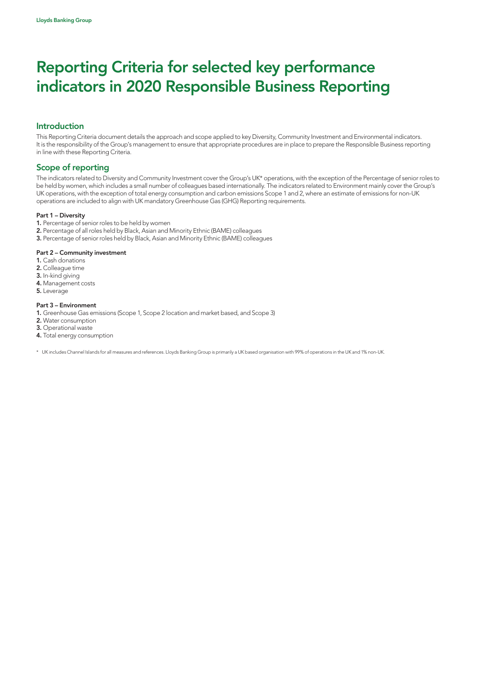## Introduction

This Reporting Criteria document details the approach and scope applied to key Diversity, Community Investment and Environmental indicators. It is the responsibility of the Group's management to ensure that appropriate procedures are in place to prepare the Responsible Business reporting in line with these Reporting Criteria.

## Scope of reporting

The indicators related to Diversity and Community Investment cover the Group's UK\* operations, with the exception of the Percentage of senior roles to be held by women, which includes a small number of colleagues based internationally. The indicators related to Environment mainly cover the Group's UK operations, with the exception of total energy consumption and carbon emissions Scope 1 and 2, where an estimate of emissions for non-UK operations are included to align with UK mandatory Greenhouse Gas (GHG) Reporting requirements.

#### Part 1 – Diversity

- 1. Percentage of senior roles to be held by women
- 2. Percentage of all roles held by Black, Asian and Minority Ethnic (BAME) colleagues
- 3. Percentage of senior roles held by Black, Asian and Minority Ethnic (BAME) colleagues

#### Part 2 – Community investment

- 1. Cash donations
- 2. Colleague time
- 3. In-kind giving
- 4. Management costs
- 5. Leverage

#### Part 3 – Environment

- 1. Greenhouse Gas emissions (Scope 1, Scope 2 location and market based, and Scope 3)
- 2. Water consumption
- 3. Operational waste
- 4. Total energy consumption

\* UK includes Channel Islands for all measures and references. Lloyds Banking Group is primarily a UK based organisation with 99% of operations in the UK and 1% non-UK.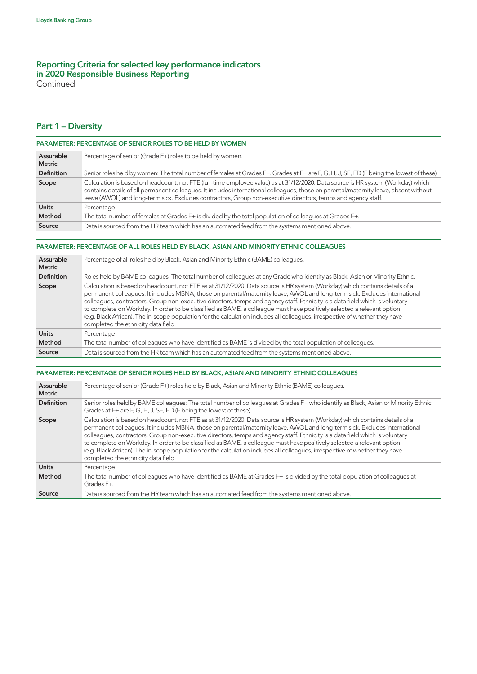**Continued** 

## Part 1 – Diversity

| <b>PARAMETER: PERCENTAGE OF SENIOR ROLES TO BE HELD BY WOMEN</b> |                                                                                                                                                                                                                                                                                                                                                                                            |
|------------------------------------------------------------------|--------------------------------------------------------------------------------------------------------------------------------------------------------------------------------------------------------------------------------------------------------------------------------------------------------------------------------------------------------------------------------------------|
| Assurable<br><b>Metric</b>                                       | Percentage of senior (Grade F+) roles to be held by women.                                                                                                                                                                                                                                                                                                                                 |
| <b>Definition</b>                                                | Senior roles held by women: The total number of females at Grades F+. Grades at F+ are F, G, H, J, SE, ED (F being the lowest of these).                                                                                                                                                                                                                                                   |
| Scope                                                            | Calculation is based on headcount, not FTE (full-time employee value) as at 31/12/2020. Data source is HR system (Workday) which<br>contains details of all permanent colleagues. It includes international colleagues, those on parental/maternity leave, absent without<br>leave (AWOL) and long-term sick. Excludes contractors, Group non-executive directors, temps and agency staff. |
| <b>Units</b>                                                     | Percentage                                                                                                                                                                                                                                                                                                                                                                                 |
| Method                                                           | The total number of females at Grades F+ is divided by the total population of colleagues at Grades F+.                                                                                                                                                                                                                                                                                    |
| Source                                                           | Data is sourced from the HR team which has an automated feed from the systems mentioned above.                                                                                                                                                                                                                                                                                             |

#### PARAMETER: PERCENTAGE OF ALL ROLES HELD BY BLACK, ASIAN AND MINORITY ETHNIC COLLEAGUES

| Assurable<br><b>Metric</b> | Percentage of all roles held by Black, Asian and Minority Ethnic (BAME) colleagues.                                                                                                                                                                                                                                                                                                                                                                                                                                                                                                                                                                                                          |
|----------------------------|----------------------------------------------------------------------------------------------------------------------------------------------------------------------------------------------------------------------------------------------------------------------------------------------------------------------------------------------------------------------------------------------------------------------------------------------------------------------------------------------------------------------------------------------------------------------------------------------------------------------------------------------------------------------------------------------|
| <b>Definition</b>          | Roles held by BAME colleagues: The total number of colleagues at any Grade who identify as Black, Asian or Minority Ethnic.                                                                                                                                                                                                                                                                                                                                                                                                                                                                                                                                                                  |
| Scope                      | Calculation is based on headcount, not FTE as at 31/12/2020. Data source is HR system (Workday) which contains details of all<br>permanent colleagues. It includes MBNA, those on parental/maternity leave, AWOL and long-term sick. Excludes international<br>colleagues, contractors, Group non-executive directors, temps and agency staff. Ethnicity is a data field which is voluntary<br>to complete on Workday. In order to be classified as BAME, a colleague must have positively selected a relevant option<br>(e.g. Black African). The in-scope population for the calculation includes all colleagues, irrespective of whether they have<br>completed the ethnicity data field. |
| <b>Units</b>               | Percentage                                                                                                                                                                                                                                                                                                                                                                                                                                                                                                                                                                                                                                                                                   |
| Method                     | The total number of colleagues who have identified as BAME is divided by the total population of colleagues.                                                                                                                                                                                                                                                                                                                                                                                                                                                                                                                                                                                 |
| Source                     | Data is sourced from the HR team which has an automated feed from the systems mentioned above.                                                                                                                                                                                                                                                                                                                                                                                                                                                                                                                                                                                               |

| PARAMETER: PERCENTAGE OF SENIOR ROLES HELD BY BLACK, ASIAN AND MINORITY ETHNIC COLLEAGUES |                                                                                                                                                                                                                                                                                                                                                                                                                                                                                                                                                                                                                                                                                              |
|-------------------------------------------------------------------------------------------|----------------------------------------------------------------------------------------------------------------------------------------------------------------------------------------------------------------------------------------------------------------------------------------------------------------------------------------------------------------------------------------------------------------------------------------------------------------------------------------------------------------------------------------------------------------------------------------------------------------------------------------------------------------------------------------------|
| Assurable<br><b>Metric</b>                                                                | Percentage of senior (Grade F+) roles held by Black, Asian and Minority Ethnic (BAME) colleagues.                                                                                                                                                                                                                                                                                                                                                                                                                                                                                                                                                                                            |
| <b>Definition</b>                                                                         | Senior roles held by BAME colleagues: The total number of colleagues at Grades F+ who identify as Black, Asian or Minority Ethnic.<br>Grades at F+ are F, G, H, J, SE, ED (F being the lowest of these).                                                                                                                                                                                                                                                                                                                                                                                                                                                                                     |
| Scope                                                                                     | Calculation is based on headcount, not FTE as at 31/12/2020. Data source is HR system (Workday) which contains details of all<br>permanent colleagues. It includes MBNA, those on parental/maternity leave, AWOL and long-term sick. Excludes international<br>colleagues, contractors, Group non-executive directors, temps and agency staff. Ethnicity is a data field which is voluntary<br>to complete on Workday. In order to be classified as BAME, a colleague must have positively selected a relevant option<br>(e.g. Black African). The in-scope population for the calculation includes all colleagues, irrespective of whether they have<br>completed the ethnicity data field. |
| <b>Units</b>                                                                              | Percentage                                                                                                                                                                                                                                                                                                                                                                                                                                                                                                                                                                                                                                                                                   |
| Method                                                                                    | The total number of colleagues who have identified as BAME at Grades F+ is divided by the total population of colleagues at<br>Grades F+.                                                                                                                                                                                                                                                                                                                                                                                                                                                                                                                                                    |
| Source                                                                                    | Data is sourced from the HR team which has an automated feed from the systems mentioned above.                                                                                                                                                                                                                                                                                                                                                                                                                                                                                                                                                                                               |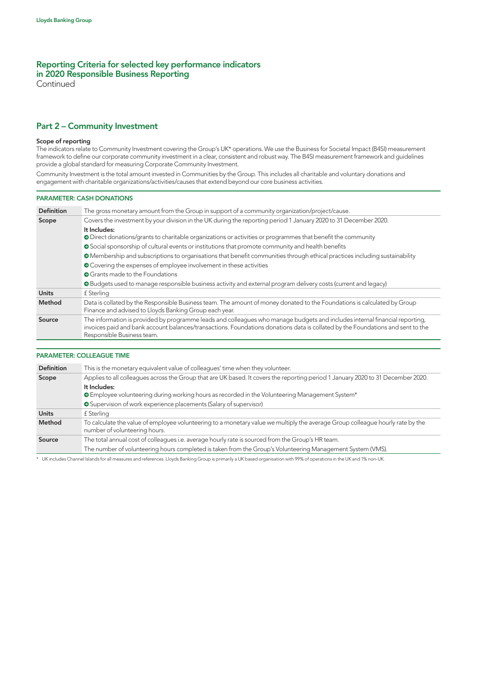**Continued** 

## Part 2 – Community Investment

#### Scope of reporting

The indicators relate to Community Investment covering the Group's UK\* operations. We use the Business for Societal Impact (B4SI) measurement framework to define our corporate community investment in a clear, consistent and robust way. The B4SI measurement framework and guidelines provide a global standard for measuring Corporate Community Investment.

Community Investment is the total amount invested in Communities by the Group. This includes all charitable and voluntary donations and engagement with charitable organizations/activities/causes that extend beyond our core business activities.

#### PARAMETER: CASH DONATIONS

| <b>Definition</b> | The gross monetary amount from the Group in support of a community organization/project/cause.                                                                                                                                                                                               |
|-------------------|----------------------------------------------------------------------------------------------------------------------------------------------------------------------------------------------------------------------------------------------------------------------------------------------|
| Scope             | Covers the investment by your division in the UK during the reporting period 1 January 2020 to 31 December 2020.                                                                                                                                                                             |
|                   | It Includes:                                                                                                                                                                                                                                                                                 |
|                   | • Direct donations/grants to charitable organizations or activities or programmes that benefit the community                                                                                                                                                                                 |
|                   | Social sponsorship of cultural events or institutions that promote community and health benefits                                                                                                                                                                                             |
|                   | • Membership and subscriptions to organisations that benefit communities through ethical practices including sustainability                                                                                                                                                                  |
|                   | ● Covering the expenses of employee involvement in these activities                                                                                                                                                                                                                          |
|                   | <b>O</b> Grants made to the Foundations                                                                                                                                                                                                                                                      |
|                   | • Budgets used to manage responsible business activity and external program delivery costs (current and legacy)                                                                                                                                                                              |
| <b>Units</b>      | f Sterling                                                                                                                                                                                                                                                                                   |
| Method            | Data is collated by the Responsible Business team. The amount of money donated to the Foundations is calculated by Group<br>Finance and advised to Lloyds Banking Group each year.                                                                                                           |
| Source            | The information is provided by programme leads and colleagues who manage budgets and includes internal financial reporting,<br>invoices paid and bank account balances/transactions. Foundations donations data is collated by the Foundations and sent to the<br>Responsible Business team. |

## PARAMETER: COLLEAGUE TIME

| <b>Definition</b> | This is the monetary equivalent value of colleagues' time when they volunteer.                                                                                  |
|-------------------|-----------------------------------------------------------------------------------------------------------------------------------------------------------------|
| Scope             | Applies to all colleagues across the Group that are UK based. It covers the reporting period 1 January 2020 to 31 December 2020.                                |
|                   | It Includes:                                                                                                                                                    |
|                   | • Employee volunteering during working hours as recorded in the Volunteering Management System*                                                                 |
|                   | Supervision of work experience placements (Salary of supervisor)                                                                                                |
| <b>Units</b>      | f Sterling                                                                                                                                                      |
| Method            | To calculate the value of employee volunteering to a monetary value we multiply the average Group colleague hourly rate by the<br>number of volunteering hours. |
| Source            | The total annual cost of colleagues i.e. average hourly rate is sourced from the Group's HR team.                                                               |
|                   | The number of volunteering hours completed is taken from the Group's Volunteering Management System (VMS).                                                      |

\* UK includes Channel Islands for all measures and references. Lloyds Banking Group is primarily a UK based organisation with 99% of operations in the UK and 1% non-UK.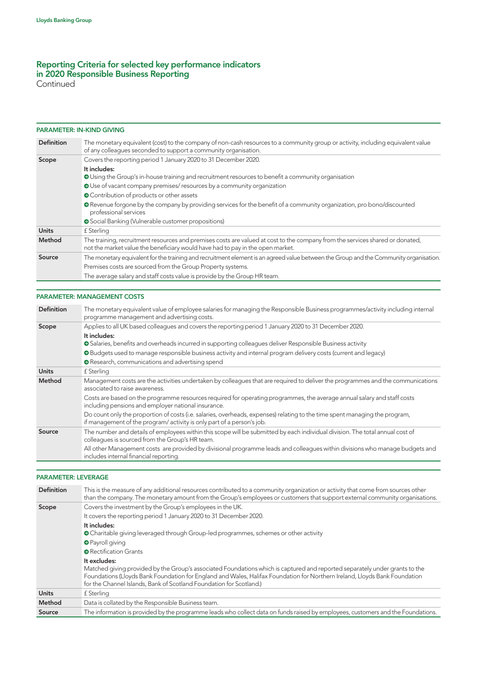Continued

## PARAMETER: IN-KIND GIVING

| <b>Definition</b> | The monetary equivalent (cost) to the company of non-cash resources to a community group or activity, including equivalent value<br>of any colleagues seconded to support a community organisation.             |
|-------------------|-----------------------------------------------------------------------------------------------------------------------------------------------------------------------------------------------------------------|
| Scope             | Covers the reporting period 1 January 2020 to 31 December 2020.                                                                                                                                                 |
|                   | It includes:                                                                                                                                                                                                    |
|                   | O Using the Group's in-house training and recruitment resources to benefit a community organisation                                                                                                             |
|                   | O Use of vacant company premises/resources by a community organization                                                                                                                                          |
|                   | • Contribution of products or other assets                                                                                                                                                                      |
|                   | • Revenue forgone by the company by providing services for the benefit of a community organization, pro bono/discounted<br>professional services                                                                |
|                   | Social Banking (Vulnerable customer propositions)                                                                                                                                                               |
| <b>Units</b>      | £ Sterling                                                                                                                                                                                                      |
| Method            | The training, recruitment resources and premises costs are valued at cost to the company from the services shared or donated,<br>not the market value the beneficiary would have had to pay in the open market. |
| Source            | The monetary equivalent for the training and recruitment element is an agreed value between the Group and the Community organisation.                                                                           |
|                   | Premises costs are sourced from the Group Property systems.                                                                                                                                                     |
|                   | The average salary and staff costs value is provide by the Group HR team.                                                                                                                                       |

## PARAMETER: MANAGEMENT COSTS

| <b>Definition</b> | The monetary equivalent value of employee salaries for managing the Responsible Business programmes/activity including internal<br>programme management and advertising costs.                       |
|-------------------|------------------------------------------------------------------------------------------------------------------------------------------------------------------------------------------------------|
| Scope             | Applies to all UK based colleagues and covers the reporting period 1 January 2020 to 31 December 2020.                                                                                               |
|                   | It includes:                                                                                                                                                                                         |
|                   | • Salaries, benefits and overheads incurred in supporting colleagues deliver Responsible Business activity                                                                                           |
|                   | • Budgets used to manage responsible business activity and internal program delivery costs (current and legacy)                                                                                      |
|                   | Research, communications and advertising spend                                                                                                                                                       |
| <b>Units</b>      | f Sterling                                                                                                                                                                                           |
| Method            | Management costs are the activities undertaken by colleagues that are required to deliver the programmes and the communications<br>associated to raise awareness.                                    |
|                   | Costs are based on the programme resources required for operating programmes, the average annual salary and staff costs<br>including pensions and employer national insurance.                       |
|                   | Do count only the proportion of costs (i.e. salaries, overheads, expenses) relating to the time spent managing the program,<br>if management of the program/activity is only part of a person's job. |
| Source            | The number and details of employees within this scope will be submitted by each individual division. The total annual cost of<br>colleagues is sourced from the Group's HR team.                     |
|                   | All other Management costs are provided by divisional programme leads and colleagues within divisions who manage budgets and<br>includes internal financial reporting.                               |

## PARAMETER: LEVERAGE

| <b>Definition</b> | This is the measure of any additional resources contributed to a community organization or activity that come from sources other<br>than the company. The monetary amount from the Group's employees or customers that support external community organisations.                                                                                 |
|-------------------|--------------------------------------------------------------------------------------------------------------------------------------------------------------------------------------------------------------------------------------------------------------------------------------------------------------------------------------------------|
| Scope             | Covers the investment by the Group's employees in the UK.                                                                                                                                                                                                                                                                                        |
|                   | It covers the reporting period 1 January 2020 to 31 December 2020.                                                                                                                                                                                                                                                                               |
|                   | It includes:                                                                                                                                                                                                                                                                                                                                     |
|                   | • Charitable giving leveraged through Group-led programmes, schemes or other activity                                                                                                                                                                                                                                                            |
|                   | <b>O</b> Payroll giving                                                                                                                                                                                                                                                                                                                          |
|                   | <b>O</b> Rectification Grants                                                                                                                                                                                                                                                                                                                    |
|                   | It excludes:<br>Matched giving provided by the Group's associated Foundations which is captured and reported separately under grants to the<br>Foundations (Lloyds Bank Foundation for England and Wales, Halifax Foundation for Northern Ireland, Lloyds Bank Foundation<br>for the Channel Islands, Bank of Scotland Foundation for Scotland.) |
| <b>Units</b>      | £ Sterling                                                                                                                                                                                                                                                                                                                                       |
| Method            | Data is collated by the Responsible Business team.                                                                                                                                                                                                                                                                                               |
| Source            | The information is provided by the programme leads who collect data on funds raised by employees, customers and the Foundations.                                                                                                                                                                                                                 |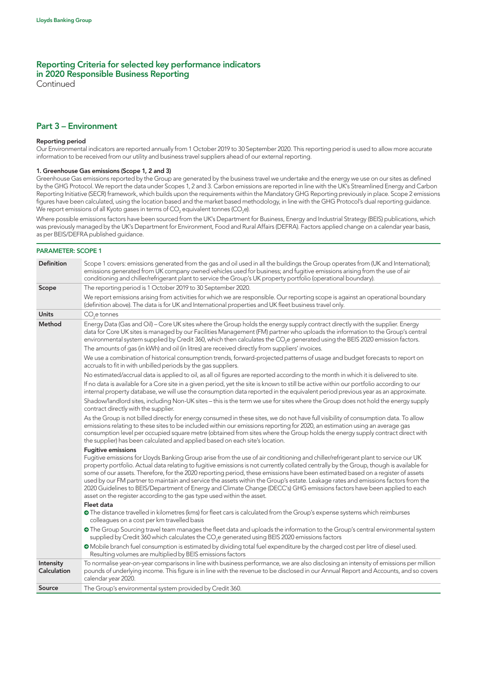Continued

## Part 3 – Environment

#### Reporting period

Our Environmental indicators are reported annually from 1 October 2019 to 30 September 2020. This reporting period is used to allow more accurate information to be received from our utility and business travel suppliers ahead of our external reporting.

#### 1. Greenhouse Gas emissions (Scope 1, 2 and 3)

Greenhouse Gas emissions reported by the Group are generated by the business travel we undertake and the energy we use on our sites as defined by the GHG Protocol. We report the data under Scopes 1, 2 and 3. Carbon emissions are reported in line with the UK's Streamlined Energy and Carbon Reporting Initiative (SECR) framework, which builds upon the requirements within the Mandatory GHG Reporting previously in place. Scope 2 emissions figures have been calculated, using the location based and the market based methodology, in line with the GHG Protocol's dual reporting guidance. We report emissions of all Kyoto gases in terms of CO $_2$  equivalent tonnes (CO $_2$ e).

Where possible emissions factors have been sourced from the UK's Department for Business, Energy and Industrial Strategy (BEIS) publications, which was previously managed by the UK's Department for Environment, Food and Rural Affairs (DEFRA). Factors applied change on a calendar year basis, as per BEIS/DEFRA published guidance.

#### PARAMETER: SCOPE 1

| <b>Definition</b>        | Scope 1 covers: emissions generated from the gas and oil used in all the buildings the Group operates from (UK and International);<br>emissions generated from UK company owned vehicles used for business; and fugitive emissions arising from the use of air<br>conditioning and chiller/refrigerant plant to service the Group's UK property portfolio (operational boundary).                                                                                                                                                                                                                                                                                                                                                                                                         |
|--------------------------|-------------------------------------------------------------------------------------------------------------------------------------------------------------------------------------------------------------------------------------------------------------------------------------------------------------------------------------------------------------------------------------------------------------------------------------------------------------------------------------------------------------------------------------------------------------------------------------------------------------------------------------------------------------------------------------------------------------------------------------------------------------------------------------------|
| Scope                    | The reporting period is 1 October 2019 to 30 September 2020.                                                                                                                                                                                                                                                                                                                                                                                                                                                                                                                                                                                                                                                                                                                              |
|                          | We report emissions arising from activities for which we are responsible. Our reporting scope is against an operational boundary<br>(definition above). The data is for UK and International properties and UK fleet business travel only.                                                                                                                                                                                                                                                                                                                                                                                                                                                                                                                                                |
| <b>Units</b>             | $CO2e$ tonnes                                                                                                                                                                                                                                                                                                                                                                                                                                                                                                                                                                                                                                                                                                                                                                             |
| Method                   | Energy Data (Gas and Oil) - Core UK sites where the Group holds the energy supply contract directly with the supplier. Energy<br>data for Core UK sites is managed by our Facilities Management (FM) partner who uploads the information to the Group's central<br>environmental system supplied by Credit 360, which then calculates the CO <sub>2</sub> e generated using the BEIS 2020 emission factors.                                                                                                                                                                                                                                                                                                                                                                               |
|                          | The amounts of gas (in kWh) and oil (in litres) are received directly from suppliers' invoices.                                                                                                                                                                                                                                                                                                                                                                                                                                                                                                                                                                                                                                                                                           |
|                          | We use a combination of historical consumption trends, forward-projected patterns of usage and budget forecasts to report on<br>accruals to fit in with unbilled periods by the gas suppliers.                                                                                                                                                                                                                                                                                                                                                                                                                                                                                                                                                                                            |
|                          | No estimated/accrual data is applied to oil, as all oil figures are reported according to the month in which it is delivered to site.                                                                                                                                                                                                                                                                                                                                                                                                                                                                                                                                                                                                                                                     |
|                          | If no data is available for a Core site in a given period, yet the site is known to still be active within our portfolio according to our<br>internal property database, we will use the consumption data reported in the equivalent period previous year as an approximate.                                                                                                                                                                                                                                                                                                                                                                                                                                                                                                              |
|                          | Shadow/landlord sites, including Non-UK sites - this is the term we use for sites where the Group does not hold the energy supply<br>contract directly with the supplier.                                                                                                                                                                                                                                                                                                                                                                                                                                                                                                                                                                                                                 |
|                          | As the Group is not billed directly for energy consumed in these sites, we do not have full visibility of consumption data. To allow<br>emissions relating to these sites to be included within our emissions reporting for 2020, an estimation using an average gas<br>consumption level per occupied square metre (obtained from sites where the Group holds the energy supply contract direct with<br>the supplier) has been calculated and applied based on each site's location.                                                                                                                                                                                                                                                                                                     |
|                          | <b>Fugitive emissions</b><br>Fugitive emissions for Lloyds Banking Group arise from the use of air conditioning and chiller/refrigerant plant to service our UK<br>property portfolio. Actual data relating to fugitive emissions is not currently collated centrally by the Group, though is available for<br>some of our assets. Therefore, for the 2020 reporting period, these emissions have been estimated based on a register of assets<br>used by our FM partner to maintain and service the assets within the Group's estate. Leakage rates and emissions factors from the<br>2020 Guidelines to BEIS/Department of Energy and Climate Change (DECC's) GHG emissions factors have been applied to each<br>asset on the register according to the gas type used within the asset. |
|                          | Fleet data<br>• The distance travelled in kilometres (kms) for fleet cars is calculated from the Group's expense systems which reimburses<br>colleagues on a cost per km travelled basis                                                                                                                                                                                                                                                                                                                                                                                                                                                                                                                                                                                                  |
|                          | The Group Sourcing travel team manages the fleet data and uploads the information to the Group's central environmental system<br>supplied by Credit 360 which calculates the CO <sub>2</sub> e generated using BEIS 2020 emissions factors                                                                                                                                                                                                                                                                                                                                                                                                                                                                                                                                                |
|                          | • Mobile branch fuel consumption is estimated by dividing total fuel expenditure by the charged cost per litre of diesel used.<br>Resulting volumes are multiplied by BEIS emissions factors                                                                                                                                                                                                                                                                                                                                                                                                                                                                                                                                                                                              |
| Intensity<br>Calculation | To normalise year-on-year comparisons in line with business performance, we are also disclosing an intensity of emissions per million<br>pounds of underlying income. This figure is in line with the revenue to be disclosed in our Annual Report and Accounts, and so covers<br>calendar year 2020.                                                                                                                                                                                                                                                                                                                                                                                                                                                                                     |
| Source                   | The Group's environmental system provided by Credit 360.                                                                                                                                                                                                                                                                                                                                                                                                                                                                                                                                                                                                                                                                                                                                  |
|                          |                                                                                                                                                                                                                                                                                                                                                                                                                                                                                                                                                                                                                                                                                                                                                                                           |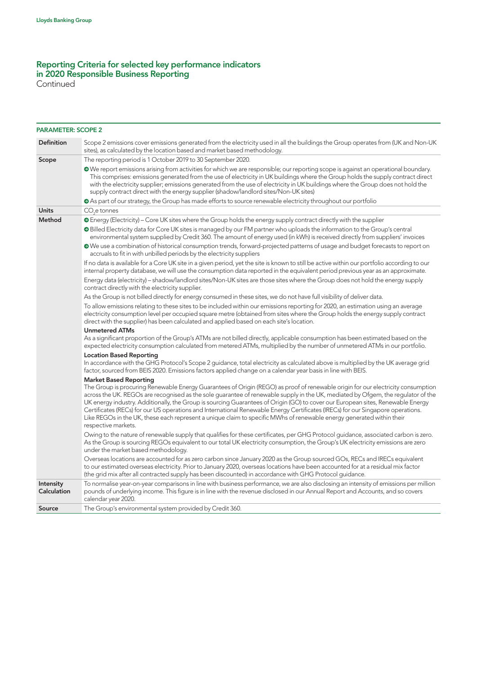Continued

| <b>PARAMETER: SCOPE 2</b> |                                                                                                                                                                                                                                                                                                                                                                                                                                                                                                                                                                                                                                                                                            |  |
|---------------------------|--------------------------------------------------------------------------------------------------------------------------------------------------------------------------------------------------------------------------------------------------------------------------------------------------------------------------------------------------------------------------------------------------------------------------------------------------------------------------------------------------------------------------------------------------------------------------------------------------------------------------------------------------------------------------------------------|--|
| <b>Definition</b>         | Scope 2 emissions cover emissions generated from the electricity used in all the buildings the Group operates from (UK and Non-UK<br>sites), as calculated by the location based and market based methodology.                                                                                                                                                                                                                                                                                                                                                                                                                                                                             |  |
| Scope                     | The reporting period is 1 October 2019 to 30 September 2020.                                                                                                                                                                                                                                                                                                                                                                                                                                                                                                                                                                                                                               |  |
|                           | • We report emissions arising from activities for which we are responsible; our reporting scope is against an operational boundary.<br>This comprises: emissions generated from the use of electricity in UK buildings where the Group holds the supply contract direct<br>with the electricity supplier; emissions generated from the use of electricity in UK buildings where the Group does not hold the<br>supply contract direct with the energy supplier (shadow/landlord sites/Non-UK sites)                                                                                                                                                                                        |  |
|                           | • As part of our strategy, the Group has made efforts to source renewable electricity throughout our portfolio                                                                                                                                                                                                                                                                                                                                                                                                                                                                                                                                                                             |  |
| <b>Units</b>              | $CO2e$ tonnes                                                                                                                                                                                                                                                                                                                                                                                                                                                                                                                                                                                                                                                                              |  |
| Method                    | <b>O</b> Energy (Electricity) - Core UK sites where the Group holds the energy supply contract directly with the supplier                                                                                                                                                                                                                                                                                                                                                                                                                                                                                                                                                                  |  |
|                           | O Billed Electricity data for Core UK sites is managed by our FM partner who uploads the information to the Group's central<br>environmental system supplied by Credit 360. The amount of energy used (in kWh) is received directly from suppliers' invoices                                                                                                                                                                                                                                                                                                                                                                                                                               |  |
|                           | • We use a combination of historical consumption trends, forward-projected patterns of usage and budget forecasts to report on<br>accruals to fit in with unbilled periods by the electricity suppliers                                                                                                                                                                                                                                                                                                                                                                                                                                                                                    |  |
|                           | If no data is available for a Core UK site in a given period, yet the site is known to still be active within our portfolio according to our<br>internal property database, we will use the consumption data reported in the equivalent period previous year as an approximate.                                                                                                                                                                                                                                                                                                                                                                                                            |  |
|                           | Energy data (electricity) - shadow/landlord sites/Non-UK sites are those sites where the Group does not hold the energy supply<br>contract directly with the electricity supplier.                                                                                                                                                                                                                                                                                                                                                                                                                                                                                                         |  |
|                           | As the Group is not billed directly for energy consumed in these sites, we do not have full visibility of deliver data.                                                                                                                                                                                                                                                                                                                                                                                                                                                                                                                                                                    |  |
|                           | To allow emissions relating to these sites to be included within our emissions reporting for 2020, an estimation using an average<br>electricity consumption level per occupied square metre (obtained from sites where the Group holds the energy supply contract<br>direct with the supplier) has been calculated and applied based on each site's location.                                                                                                                                                                                                                                                                                                                             |  |
|                           | <b>Unmetered ATMs</b>                                                                                                                                                                                                                                                                                                                                                                                                                                                                                                                                                                                                                                                                      |  |
|                           | As a significant proportion of the Group's ATMs are not billed directly, applicable consumption has been estimated based on the<br>expected electricity consumption calculated from metered ATMs, multiplied by the number of unmetered ATMs in our portfolio.                                                                                                                                                                                                                                                                                                                                                                                                                             |  |
|                           | <b>Location Based Reporting</b>                                                                                                                                                                                                                                                                                                                                                                                                                                                                                                                                                                                                                                                            |  |
|                           | In accordance with the GHG Protocol's Scope 2 guidance, total electricity as calculated above is multiplied by the UK average grid<br>factor, sourced from BEIS 2020. Emissions factors applied change on a calendar year basis in line with BEIS.                                                                                                                                                                                                                                                                                                                                                                                                                                         |  |
|                           | <b>Market Based Reporting</b>                                                                                                                                                                                                                                                                                                                                                                                                                                                                                                                                                                                                                                                              |  |
|                           | The Group is procuring Renewable Energy Guarantees of Origin (REGO) as proof of renewable origin for our electricity consumption<br>across the UK. REGOs are recognised as the sole quarantee of renewable supply in the UK, mediated by Ofgem, the regulator of the<br>UK energy industry. Additionally, the Group is sourcing Guarantees of Origin (GO) to cover our European sites, Renewable Energy<br>Certificates (RECs) for our US operations and International Renewable Energy Certificates (IRECs) for our Singapore operations.<br>Like REGOs in the UK, these each represent a unique claim to specific MWhs of renewable energy generated within their<br>respective markets. |  |
|                           | Owing to the nature of renewable supply that qualifies for these certificates, per GHG Protocol guidance, associated carbon is zero.<br>As the Group is sourcing REGOs equivalent to our total UK electricity consumption, the Group's UK electricity emissions are zero<br>under the market based methodology.                                                                                                                                                                                                                                                                                                                                                                            |  |
|                           | Overseas locations are accounted for as zero carbon since January 2020 as the Group sourced GOs, RECs and IRECs equivalent<br>to our estimated overseas electricity. Prior to January 2020, overseas locations have been accounted for at a residual mix factor<br>(the grid mix after all contracted supply has been discounted) in accordance with GHG Protocol guidance.                                                                                                                                                                                                                                                                                                                |  |
| Intensity<br>Calculation  | To normalise year-on-year comparisons in line with business performance, we are also disclosing an intensity of emissions per million<br>pounds of underlying income. This figure is in line with the revenue disclosed in our Annual Report and Accounts, and so covers<br>calendar year 2020.                                                                                                                                                                                                                                                                                                                                                                                            |  |
| Source                    | The Group's environmental system provided by Credit 360.                                                                                                                                                                                                                                                                                                                                                                                                                                                                                                                                                                                                                                   |  |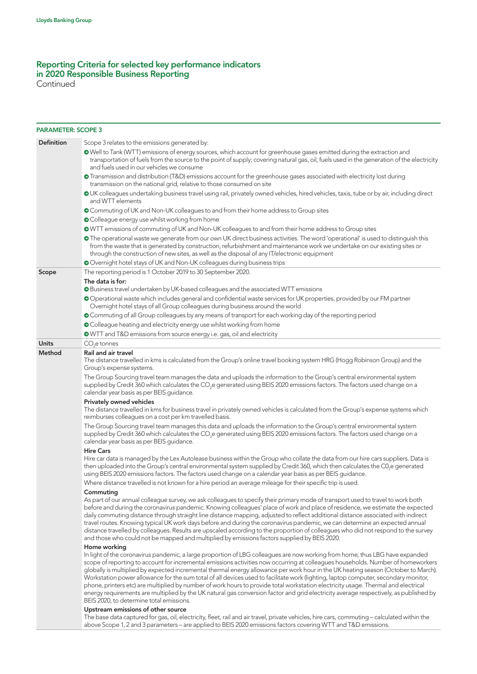Continued

| <b>PARAMETER: SCOPE 3</b> |                                                                                                                                                                                                                                                                                                                                                                                                                                                                                                                                                                                                                                          |
|---------------------------|------------------------------------------------------------------------------------------------------------------------------------------------------------------------------------------------------------------------------------------------------------------------------------------------------------------------------------------------------------------------------------------------------------------------------------------------------------------------------------------------------------------------------------------------------------------------------------------------------------------------------------------|
| Definition                | Scope 3 relates to the emissions generated by:                                                                                                                                                                                                                                                                                                                                                                                                                                                                                                                                                                                           |
|                           | Well to Tank (WTT) emissions of energy sources, which account for greenhouse gases emitted during the extraction and<br>transportation of fuels from the source to the point of supply; covering natural gas, oil, fuels used in the generation of the electricity<br>and fuels used in our vehicles we consume                                                                                                                                                                                                                                                                                                                          |
|                           | • Transmission and distribution (T&D) emissions account for the greenhouse gases associated with electricity lost during<br>transmission on the national grid, relative to those consumed on site                                                                                                                                                                                                                                                                                                                                                                                                                                        |
|                           | OUK colleagues undertaking business travel using rail, privately owned vehicles, hired vehicles, taxis, tube or by air, including direct<br>and WTT elements                                                                                                                                                                                                                                                                                                                                                                                                                                                                             |
|                           | O Commuting of UK and Non-UK colleagues to and from their home address to Group sites                                                                                                                                                                                                                                                                                                                                                                                                                                                                                                                                                    |
|                           | O Colleague energy use whilst working from home                                                                                                                                                                                                                                                                                                                                                                                                                                                                                                                                                                                          |
|                           | OWTT emissions of commuting of UK and Non-UK colleagues to and from their home address to Group sites                                                                                                                                                                                                                                                                                                                                                                                                                                                                                                                                    |
|                           | • The operational waste we generate from our own UK direct business activities. The word 'operational' is used to distinguish this<br>from the waste that is generated by construction, refurbishment and maintenance work we undertake on our existing sites or<br>through the construction of new sites, as well as the disposal of any IT/electronic equipment                                                                                                                                                                                                                                                                        |
|                           | Overnight hotel stays of UK and Non-UK colleagues during business trips                                                                                                                                                                                                                                                                                                                                                                                                                                                                                                                                                                  |
| Scope                     | The reporting period is 1 October 2019 to 30 September 2020.                                                                                                                                                                                                                                                                                                                                                                                                                                                                                                                                                                             |
|                           | The data is for:<br>O Business travel undertaken by UK-based colleagues and the associated WTT emissions                                                                                                                                                                                                                                                                                                                                                                                                                                                                                                                                 |
|                           | O Operational waste which includes general and confidential waste services for UK properties, provided by our FM partner                                                                                                                                                                                                                                                                                                                                                                                                                                                                                                                 |
|                           | Overnight hotel stays of all Group colleagues during business around the world                                                                                                                                                                                                                                                                                                                                                                                                                                                                                                                                                           |
|                           | O Commuting of all Group colleagues by any means of transport for each working day of the reporting period                                                                                                                                                                                                                                                                                                                                                                                                                                                                                                                               |
|                           | O Colleague heating and electricity energy use whilst working from home                                                                                                                                                                                                                                                                                                                                                                                                                                                                                                                                                                  |
|                           | <b>O</b> WTT and T&D emissions from source energy i.e. gas, oil and electricity                                                                                                                                                                                                                                                                                                                                                                                                                                                                                                                                                          |
| <b>Units</b>              | $CO2e$ tonnes                                                                                                                                                                                                                                                                                                                                                                                                                                                                                                                                                                                                                            |
| Method                    | <b>Rail and air travel</b>                                                                                                                                                                                                                                                                                                                                                                                                                                                                                                                                                                                                               |
|                           | The distance travelled in kms is calculated from the Group's online travel booking system HRG (Hogg Robinson Group) and the<br>Group's expense systems.                                                                                                                                                                                                                                                                                                                                                                                                                                                                                  |
|                           | The Group Sourcing travel team manages the data and uploads the information to the Group's central environmental system<br>supplied by Credit 360 which calculates the CO <sub>2</sub> e generated using BEIS 2020 emissions factors. The factors used change on a<br>calendar year basis as per BEIS guidance.                                                                                                                                                                                                                                                                                                                          |
|                           | <b>Privately owned vehicles</b>                                                                                                                                                                                                                                                                                                                                                                                                                                                                                                                                                                                                          |
|                           | The distance travelled in kms for business travel in privately owned vehicles is calculated from the Group's expense systems which<br>reimburses colleagues on a cost per km travelled basis.                                                                                                                                                                                                                                                                                                                                                                                                                                            |
|                           | The Group Sourcing travel team manages this data and uploads the information to the Group's central environmental system<br>supplied by Credit 360 which calculates the CO <sub>2</sub> e generated using BEIS 2020 emissions factors. The factors used change on a<br>calendar year basis as per BEIS guidance.                                                                                                                                                                                                                                                                                                                         |
|                           | <b>Hire Cars</b>                                                                                                                                                                                                                                                                                                                                                                                                                                                                                                                                                                                                                         |
|                           | Hire car data is managed by the Lex Autolease business within the Group who collate the data from our hire cars suppliers. Data is<br>then uploaded into the Group's central environmental system supplied by Credit 360, which then calculates the C0,e generated<br>using BEIS 2020 emissions factors. The factors used change on a calendar year basis as per BEIS guidance.                                                                                                                                                                                                                                                          |
|                           | Where distance travelled is not known for a hire period an average mileage for their specific trip is used.                                                                                                                                                                                                                                                                                                                                                                                                                                                                                                                              |
|                           | Commuting<br>As part of our annual colleague survey, we ask colleagues to specify their primary mode of transport used to travel to work both                                                                                                                                                                                                                                                                                                                                                                                                                                                                                            |
|                           | before and during the coronavirus pandemic. Knowing colleagues' place of work and place of residence, we estimate the expected<br>daily commuting distance through straight line distance mapping, adjusted to reflect additional distance associated with indirect<br>travel routes. Knowing typical UK work days before and during the coronavirus pandemic, we can determine an expected annual<br>distance travelled by colleagues. Results are upscaled according to the proportion of colleagues who did not respond to the survey<br>and those who could not be mapped and multiplied by emissions factors supplied by BEIS 2020. |
|                           | Home working                                                                                                                                                                                                                                                                                                                                                                                                                                                                                                                                                                                                                             |
|                           | In light of the coronavirus pandemic, a large proportion of LBG colleagues are now working from home; thus LBG have expanded<br>scope of reporting to account for incremental emissions activities now occurring at colleagues households. Number of homeworkers                                                                                                                                                                                                                                                                                                                                                                         |
|                           | globally is multiplied by expected incremental thermal energy allowance per work hour in the UK heating season (October to March).<br>Workstation power allowance for the sum total of all devices used to facilitate work (lighting, laptop computer, secondary monitor,<br>phone, printers etc) are multiplied by number of work hours to provide total workstation electricity usage. Thermal and electrical                                                                                                                                                                                                                          |
|                           | energy requirements are multiplied by the UK natural gas conversion factor and grid electricity average respectively, as published by<br>BEIS 2020, to determine total emissions.                                                                                                                                                                                                                                                                                                                                                                                                                                                        |
|                           | Upstream emissions of other source<br>The base data captured for gas, oil, electricity, fleet, rail and air travel, private vehicles, hire cars, commuting - calculated within the                                                                                                                                                                                                                                                                                                                                                                                                                                                       |
|                           | above Scope 1, 2 and 3 parameters - are applied to BEIS 2020 emissions factors covering WTT and T&D emissions.                                                                                                                                                                                                                                                                                                                                                                                                                                                                                                                           |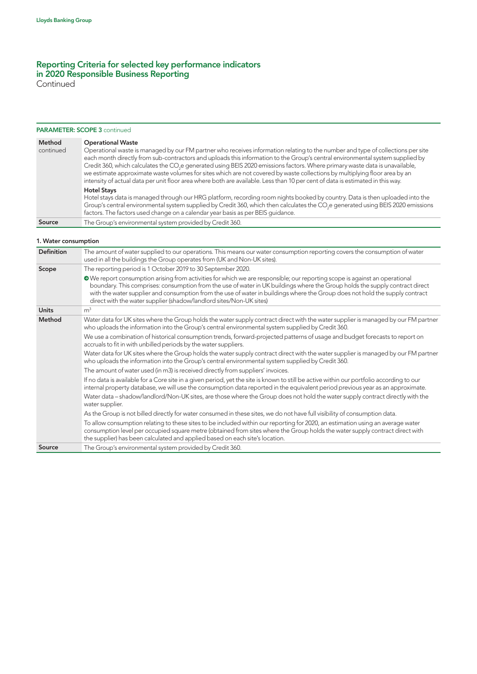Continued

#### PARAMETER: SCOPE 3 continued

| Method    | <b>Operational Waste</b>                                                                                                                                                                                                                                                                                                                                                                                                                                                                                                                                                                                                                                                     |
|-----------|------------------------------------------------------------------------------------------------------------------------------------------------------------------------------------------------------------------------------------------------------------------------------------------------------------------------------------------------------------------------------------------------------------------------------------------------------------------------------------------------------------------------------------------------------------------------------------------------------------------------------------------------------------------------------|
| continued | Operational waste is managed by our FM partner who receives information relating to the number and type of collections per site<br>each month directly from sub-contractors and uploads this information to the Group's central environmental system supplied by<br>Credit 360, which calculates the CO <sub>2</sub> e generated using BEIS 2020 emissions factors. Where primary waste data is unavailable,<br>we estimate approximate waste volumes for sites which are not covered by waste collections by multiplying floor area by an<br>intensity of actual data per unit floor area where both are available. Less than 10 per cent of data is estimated in this way. |
|           | <b>Hotel Stays</b><br>Hotel stays data is managed through our HRG platform, recording room nights booked by country. Data is then uploaded into the<br>Group's central environmental system supplied by Credit 360, which then calculates the CO <sub>2</sub> e generated using BEIS 2020 emissions<br>factors. The factors used change on a calendar year basis as per BEIS quidance.                                                                                                                                                                                                                                                                                       |
| Source    | The Group's environmental system provided by Credit 360.                                                                                                                                                                                                                                                                                                                                                                                                                                                                                                                                                                                                                     |

## 1. Water consumption

| <b>Definition</b> | The amount of water supplied to our operations. This means our water consumption reporting covers the consumption of water<br>used in all the buildings the Group operates from (UK and Non-UK sites).                                                                                                                                                                                                                                                             |
|-------------------|--------------------------------------------------------------------------------------------------------------------------------------------------------------------------------------------------------------------------------------------------------------------------------------------------------------------------------------------------------------------------------------------------------------------------------------------------------------------|
| Scope             | The reporting period is 1 October 2019 to 30 September 2020.                                                                                                                                                                                                                                                                                                                                                                                                       |
|                   | • We report consumption arising from activities for which we are responsible; our reporting scope is against an operational<br>boundary. This comprises: consumption from the use of water in UK buildings where the Group holds the supply contract direct<br>with the water supplier and consumption from the use of water in buildings where the Group does not hold the supply contract<br>direct with the water supplier (shadow/landlord sites/Non-UK sites) |
| <b>Units</b>      | m <sup>3</sup>                                                                                                                                                                                                                                                                                                                                                                                                                                                     |
| Method            | Water data for UK sites where the Group holds the water supply contract direct with the water supplier is managed by our FM partner<br>who uploads the information into the Group's central environmental system supplied by Credit 360.                                                                                                                                                                                                                           |
|                   | We use a combination of historical consumption trends, forward-projected patterns of usage and budget forecasts to report on<br>accruals to fit in with unbilled periods by the water suppliers.                                                                                                                                                                                                                                                                   |
|                   | Water data for UK sites where the Group holds the water supply contract direct with the water supplier is managed by our FM partner<br>who uploads the information into the Group's central environmental system supplied by Credit 360.                                                                                                                                                                                                                           |
|                   | The amount of water used (in m3) is received directly from suppliers' invoices.                                                                                                                                                                                                                                                                                                                                                                                    |
|                   | If no data is available for a Core site in a given period, yet the site is known to still be active within our portfolio according to our<br>internal property database, we will use the consumption data reported in the equivalent period previous year as an approximate.                                                                                                                                                                                       |
|                   | Water data - shadow/landlord/Non-UK sites, are those where the Group does not hold the water supply contract directly with the<br>water supplier.                                                                                                                                                                                                                                                                                                                  |
|                   | As the Group is not billed directly for water consumed in these sites, we do not have full visibility of consumption data.                                                                                                                                                                                                                                                                                                                                         |
|                   | To allow consumption relating to these sites to be included within our reporting for 2020, an estimation using an average water<br>consumption level per occupied square metre (obtained from sites where the Group holds the water supply contract direct with<br>the supplier) has been calculated and applied based on each site's location.                                                                                                                    |
| Source            | The Group's environmental system provided by Credit 360.                                                                                                                                                                                                                                                                                                                                                                                                           |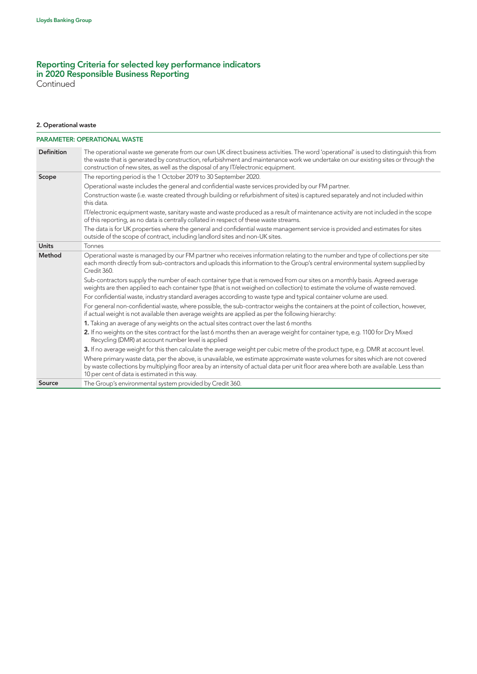Continued

# 2. Operational waste

|                   | <b>PARAMETER: OPERATIONAL WASTE</b>                                                                                                                                                                                                                                                                                                                              |
|-------------------|------------------------------------------------------------------------------------------------------------------------------------------------------------------------------------------------------------------------------------------------------------------------------------------------------------------------------------------------------------------|
| <b>Definition</b> | The operational waste we generate from our own UK direct business activities. The word 'operational' is used to distinguish this from<br>the waste that is generated by construction, refurbishment and maintenance work we undertake on our existing sites or through the<br>construction of new sites, as well as the disposal of any IT/electronic equipment. |
| Scope             | The reporting period is the 1 October 2019 to 30 September 2020.                                                                                                                                                                                                                                                                                                 |
|                   | Operational waste includes the general and confidential waste services provided by our FM partner.                                                                                                                                                                                                                                                               |
|                   | Construction waste (i.e. waste created through building or refurbishment of sites) is captured separately and not included within<br>this data.                                                                                                                                                                                                                  |
|                   | IT/electronic equipment waste, sanitary waste and waste produced as a result of maintenance activity are not included in the scope<br>of this reporting, as no data is centrally collated in respect of these waste streams.                                                                                                                                     |
|                   | The data is for UK properties where the general and confidential waste management service is provided and estimates for sites<br>outside of the scope of contract, including landlord sites and non-UK sites.                                                                                                                                                    |
| <b>Units</b>      | Tonnes                                                                                                                                                                                                                                                                                                                                                           |
| Method            | Operational waste is managed by our FM partner who receives information relating to the number and type of collections per site<br>each month directly from sub-contractors and uploads this information to the Group's central environmental system supplied by<br>Credit 360.                                                                                  |
|                   | Sub-contractors supply the number of each container type that is removed from our sites on a monthly basis. Agreed average<br>weights are then applied to each container type (that is not weighed on collection) to estimate the volume of waste removed.                                                                                                       |
|                   | For confidential waste, industry standard averages according to waste type and typical container volume are used.                                                                                                                                                                                                                                                |
|                   | For general non-confidential waste, where possible, the sub-contractor weighs the containers at the point of collection, however,<br>if actual weight is not available then average weights are applied as per the following hierarchy:                                                                                                                          |
|                   | 1. Taking an average of any weights on the actual sites contract over the last 6 months                                                                                                                                                                                                                                                                          |
|                   | 2. If no weights on the sites contract for the last 6 months then an average weight for container type, e.g. 1100 for Dry Mixed<br>Recycling (DMR) at account number level is applied                                                                                                                                                                            |
|                   | 3. If no average weight for this then calculate the average weight per cubic metre of the product type, e.g. DMR at account level.                                                                                                                                                                                                                               |
|                   | Where primary waste data, per the above, is unavailable, we estimate approximate waste volumes for sites which are not covered<br>by waste collections by multiplying floor area by an intensity of actual data per unit floor area where both are available. Less than<br>10 per cent of data is estimated in this way.                                         |
| Source            | The Group's environmental system provided by Credit 360.                                                                                                                                                                                                                                                                                                         |